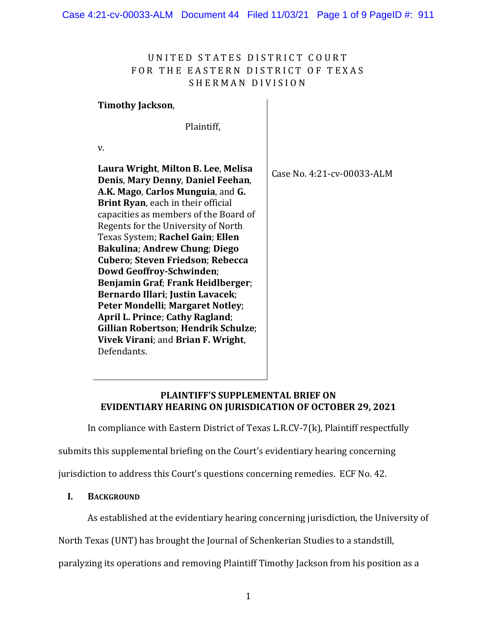# UNITED STATES DISTRICT COURT FOR THE EASTERN DISTRICT OF TEXAS SHERMAN DIVISION

#### **Timothy Jackson**,

Plaintiff,

v.

**Laura Wright**, **Milton B. Lee**, **Melisa Denis**, **Mary Denny**, **Daniel Feehan**, **A.K. Mago**, **Carlos Munguia**, and **G. Brint Ryan**, each in their official capacities as members of the Board of Regents for the University of North Texas System; **Rachel Gain**; **Ellen Bakulina**; **Andrew Chung**; **Diego Cubero**; **Steven Friedson**; **Rebecca Dowd Geoffroy-Schwinden**; **Benjamin Graf**; **Frank Heidlberger**; **Bernardo Illari**; **Justin Lavacek**; **Peter Mondelli**; **Margaret Notley**; **April L. Prince**; **Cathy Ragland**; **Gillian Robertson**; **Hendrik Schulze**; **Vivek Virani**; and **Brian F. Wright**, Defendants. Case No. 4:21-cv-00033-ALM

## **PLAINTIFF'S SUPPLEMENTAL BRIEF ON EVIDENTIARY HEARING ON JURISDICATION OF OCTOBER 29, 2021**

In compliance with Eastern District of Texas L.R.CV-7(k), Plaintiff respectfully

submits this supplemental briefing on the Court's evidentiary hearing concerning

jurisdiction to address this Court's questions concerning remedies. ECF No. 42.

#### **I. BACKGROUND**

As established at the evidentiary hearing concerning jurisdiction, the University of

North Texas (UNT) has brought the Journal of Schenkerian Studies to a standstill,

paralyzing its operations and removing Plaintiff Timothy Jackson from his position as a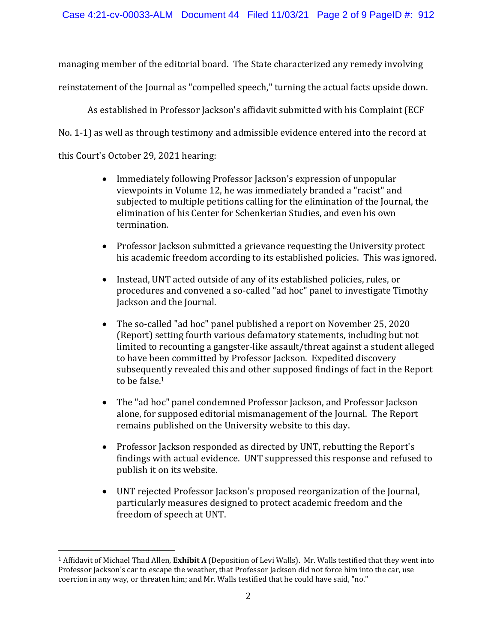managing member of the editorial board. The State characterized any remedy involving reinstatement of the Journal as "compelled speech," turning the actual facts upside down.

As established in Professor Jackson's affidavit submitted with his Complaint (ECF No. 1-1) as well as through testimony and admissible evidence entered into the record at this Court's October 29, 2021 hearing:

- Immediately following Professor Jackson's expression of unpopular viewpoints in Volume 12, he was immediately branded a "racist" and subjected to multiple petitions calling for the elimination of the Journal, the elimination of his Center for Schenkerian Studies, and even his own termination.
- Professor Jackson submitted a grievance requesting the University protect his academic freedom according to its established policies. This was ignored.
- Instead, UNT acted outside of any of its established policies, rules, or procedures and convened a so-called "ad hoc" panel to investigate Timothy Jackson and the Journal.
- The so-called "ad hoc" panel published a report on November 25, 2020 (Report) setting fourth various defamatory statements, including but not limited to recounting a gangster-like assault/threat against a student alleged to have been committed by Professor Jackson. Expedited discovery subsequently revealed this and other supposed findings of fact in the Report to be false.<sup>1</sup>
- The "ad hoc" panel condemned Professor Jackson, and Professor Jackson alone, for supposed editorial mismanagement of the Journal. The Report remains published on the University website to this day.
- Professor Jackson responded as directed by UNT, rebutting the Report's findings with actual evidence. UNT suppressed this response and refused to publish it on its website.
- UNT rejected Professor Jackson's proposed reorganization of the Journal, particularly measures designed to protect academic freedom and the freedom of speech at UNT.

<sup>1</sup> Affidavit of Michael Thad Allen, **Exhibit A** (Deposition of Levi Walls). Mr. Walls testified that they went into Professor Jackson's car to escape the weather, that Professor Jackson did not force him into the car, use coercion in any way, or threaten him; and Mr. Walls testified that he could have said, "no."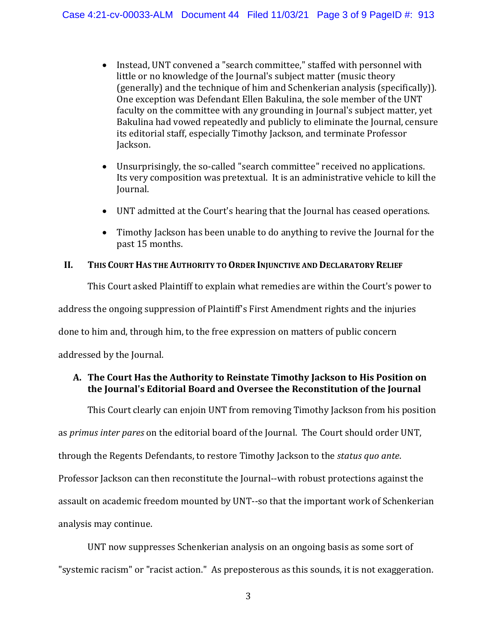- Instead, UNT convened a "search committee," staffed with personnel with little or no knowledge of the Journal's subject matter (music theory (generally) and the technique of him and Schenkerian analysis (specifically)). One exception was Defendant Ellen Bakulina, the sole member of the UNT faculty on the committee with any grounding in Journal's subject matter, yet Bakulina had vowed repeatedly and publicly to eliminate the Journal, censure its editorial staff, especially Timothy Jackson, and terminate Professor Jackson.
- Unsurprisingly, the so-called "search committee" received no applications. Its very composition was pretextual. It is an administrative vehicle to kill the Journal.
- UNT admitted at the Court's hearing that the Journal has ceased operations.
- Timothy Jackson has been unable to do anything to revive the Journal for the past 15 months.

## **II. THIS COURT HAS THE AUTHORITY TO ORDER INJUNCTIVE AND DECLARATORY RELIEF**

This Court asked Plaintiff to explain what remedies are within the Court's power to address the ongoing suppression of Plaintiff's First Amendment rights and the injuries done to him and, through him, to the free expression on matters of public concern addressed by the Journal.

# **A. The Court Has the Authority to Reinstate Timothy Jackson to His Position on the Journal's Editorial Board and Oversee the Reconstitution of the Journal**

This Court clearly can enjoin UNT from removing Timothy Jackson from his position as *primus inter pares* on the editorial board of the Journal. The Court should order UNT, through the Regents Defendants, to restore Timothy Jackson to the *status quo ante*. Professor Jackson can then reconstitute the Journal--with robust protections against the assault on academic freedom mounted by UNT--so that the important work of Schenkerian analysis may continue.

UNT now suppresses Schenkerian analysis on an ongoing basis as some sort of "systemic racism" or "racist action." As preposterous as this sounds, it is not exaggeration.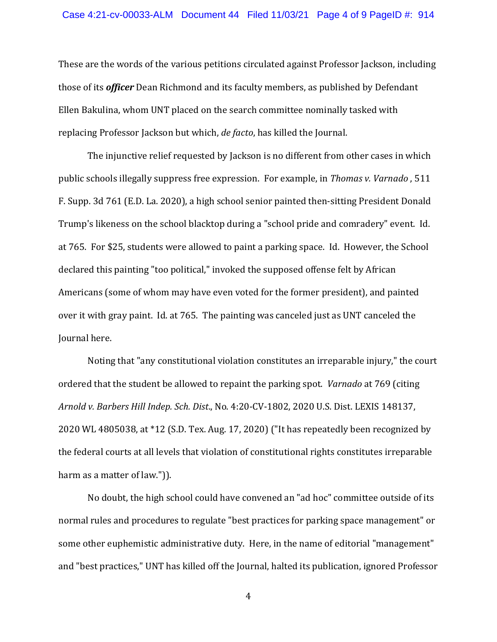These are the words of the various petitions circulated against Professor Jackson, including those of its *officer* Dean Richmond and its faculty members, as published by Defendant Ellen Bakulina, whom UNT placed on the search committee nominally tasked with replacing Professor Jackson but which, *de facto*, has killed the Journal.

The injunctive relief requested by Jackson is no different from other cases in which public schools illegally suppress free expression. For example, in *Thomas v. Varnado* , 511 F. Supp. 3d 761 (E.D. La. 2020), a high school senior painted then-sitting President Donald Trump's likeness on the school blacktop during a "school pride and comradery" event. Id. at 765. For \$25, students were allowed to paint a parking space. Id. However, the School declared this painting "too political," invoked the supposed offense felt by African Americans (some of whom may have even voted for the former president), and painted over it with gray paint. Id. at 765. The painting was canceled just as UNT canceled the Journal here.

Noting that "any constitutional violation constitutes an irreparable injury," the court ordered that the student be allowed to repaint the parking spot. *Varnado* at 769 (citing *Arnold v. Barbers Hill Indep. Sch. Dist*., No. 4:20-CV-1802, 2020 U.S. Dist. LEXIS 148137, 2020 WL 4805038, at \*12 (S.D. Tex. Aug. 17, 2020) ("It has repeatedly been recognized by the federal courts at all levels that violation of constitutional rights constitutes irreparable harm as a matter of law.").

No doubt, the high school could have convened an "ad hoc" committee outside of its normal rules and procedures to regulate "best practices for parking space management" or some other euphemistic administrative duty. Here, in the name of editorial "management" and "best practices," UNT has killed off the Journal, halted its publication, ignored Professor

4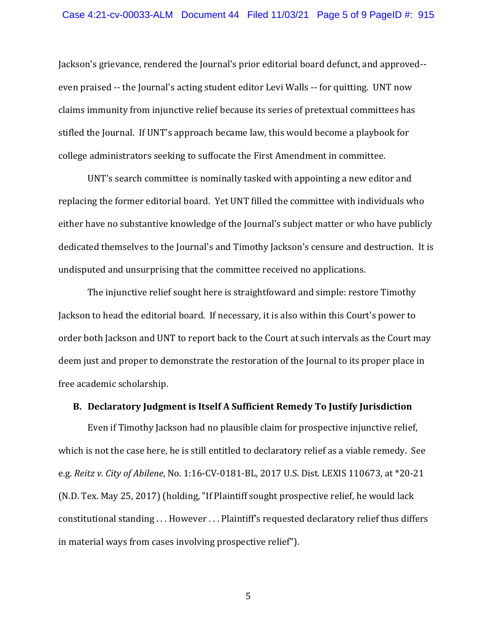Jackson's grievance, rendered the Journal's prior editorial board defunct, and approved- even praised -- the Journal's acting student editor Levi Walls -- for quitting. UNT now claims immunity from injunctive relief because its series of pretextual committees has stifled the Journal. If UNT's approach became law, this would become a playbook for college administrators seeking to suffocate the First Amendment in committee.

UNT's search committee is nominally tasked with appointing a new editor and replacing the former editorial board. Yet UNT filled the committee with individuals who either have no substantive knowledge of the Journal's subject matter or who have publicly dedicated themselves to the Journal's and Timothy Jackson's censure and destruction. It is undisputed and unsurprising that the committee received no applications.

The injunctive relief sought here is straightfoward and simple: restore Timothy Jackson to head the editorial board. If necessary, it is also within this Court's power to order both Jackson and UNT to report back to the Court at such intervals as the Court may deem just and proper to demonstrate the restoration of the Journal to its proper place in free academic scholarship.

#### **B. Declaratory Judgment is Itself A Sufficient Remedy To Justify Jurisdiction**

Even if Timothy Jackson had no plausible claim for prospective injunctive relief, which is not the case here, he is still entitled to declaratory relief as a viable remedy. See e.g. *Reitz v. City of Abilene*, No. 1:16-CV-0181-BL, 2017 U.S. Dist. LEXIS 110673, at \*20-21 (N.D. Tex. May 25, 2017) (holding, "If Plaintiff sought prospective relief, he would lack constitutional standing . . . However . . . Plaintiff's requested declaratory relief thus differs in material ways from cases involving prospective relief").

5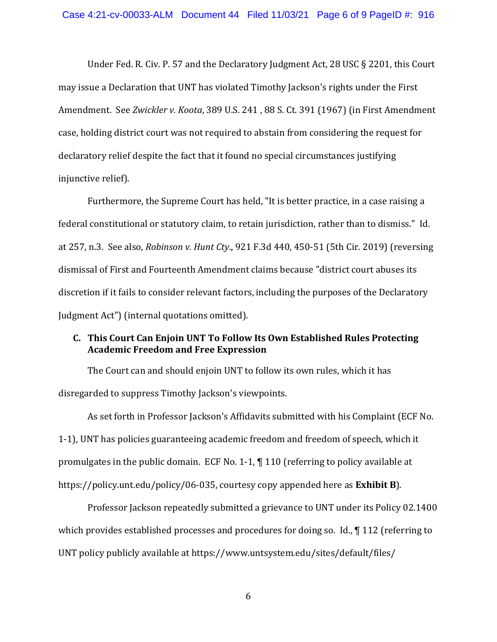Under Fed. R. Civ. P. 57 and the Declaratory Judgment Act, 28 USC § 2201, this Court may issue a Declaration that UNT has violated Timothy Jackson's rights under the First Amendment. See *Zwickler v. Koota*, 389 U.S. 241 , 88 S. Ct. 391 (1967) (in First Amendment case, holding district court was not required to abstain from considering the request for declaratory relief despite the fact that it found no special circumstances justifying injunctive relief).

Furthermore, the Supreme Court has held, "It is better practice, in a case raising a federal constitutional or statutory claim, to retain jurisdiction, rather than to dismiss." Id. at 257, n.3. See also, *Robinson v. Hunt Cty*., 921 F.3d 440, 450-51 (5th Cir. 2019) (reversing dismissal of First and Fourteenth Amendment claims because "district court abuses its discretion if it fails to consider relevant factors, including the purposes of the Declaratory Judgment Act") (internal quotations omitted).

## **C. This Court Can Enjoin UNT To Follow Its Own Established Rules Protecting Academic Freedom and Free Expression**

The Court can and should enjoin UNT to follow its own rules, which it has disregarded to suppress Timothy Jackson's viewpoints.

As set forth in Professor Jackson's Affidavits submitted with his Complaint (ECF No. 1-1), UNT has policies guaranteeing academic freedom and freedom of speech, which it promulgates in the public domain. ECF No. 1-1, ¶ 110 (referring to policy available at https://policy.unt.edu/policy/06-035, courtesy copy appended here as **Exhibit B**).

Professor Jackson repeatedly submitted a grievance to UNT under its Policy 02.1400 which provides established processes and procedures for doing so. Id., 112 (referring to UNT policy publicly available at https://www.untsystem.edu/sites/default/files/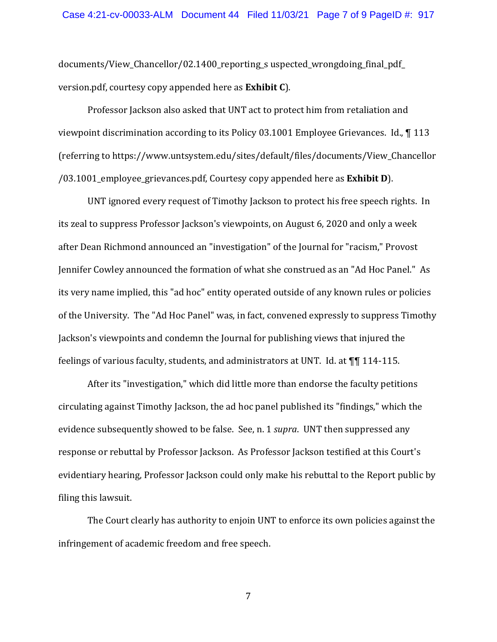documents/View\_Chancellor/02.1400\_reporting\_s uspected\_wrongdoing\_final\_pdf\_ version.pdf, courtesy copy appended here as **Exhibit C**).

Professor Jackson also asked that UNT act to protect him from retaliation and viewpoint discrimination according to its Policy 03.1001 Employee Grievances. Id., ¶ 113 (referring to https://www.untsystem.edu/sites/default/files/documents/View\_Chancellor /03.1001\_employee\_grievances.pdf, Courtesy copy appended here as **Exhibit D**).

UNT ignored every request of Timothy Jackson to protect his free speech rights. In its zeal to suppress Professor Jackson's viewpoints, on August 6, 2020 and only a week after Dean Richmond announced an "investigation" of the Journal for "racism," Provost Jennifer Cowley announced the formation of what she construed as an "Ad Hoc Panel." As its very name implied, this "ad hoc" entity operated outside of any known rules or policies of the University. The "Ad Hoc Panel" was, in fact, convened expressly to suppress Timothy Jackson's viewpoints and condemn the Journal for publishing views that injured the feelings of various faculty, students, and administrators at UNT. Id. at ¶¶ 114-115.

After its "investigation," which did little more than endorse the faculty petitions circulating against Timothy Jackson, the ad hoc panel published its "findings," which the evidence subsequently showed to be false. See, n. 1 *supra*. UNT then suppressed any response or rebuttal by Professor Jackson. As Professor Jackson testified at this Court's evidentiary hearing, Professor Jackson could only make his rebuttal to the Report public by filing this lawsuit.

The Court clearly has authority to enjoin UNT to enforce its own policies against the infringement of academic freedom and free speech.

7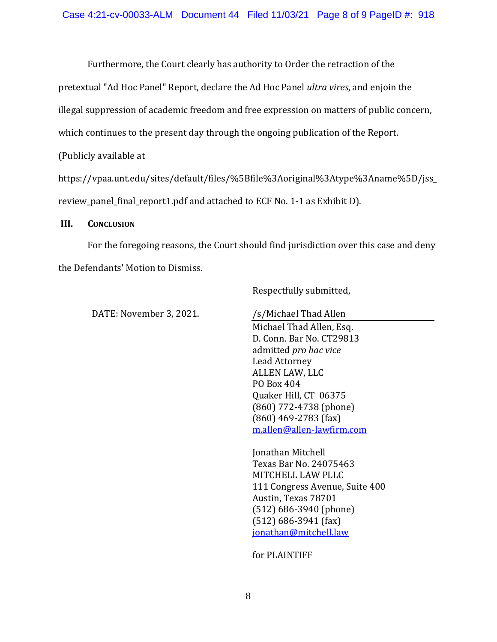Furthermore, the Court clearly has authority to Order the retraction of the

pretextual "Ad Hoc Panel" Report, declare the Ad Hoc Panel *ultra vires*, and enjoin the

illegal suppression of academic freedom and free expression on matters of public concern,

which continues to the present day through the ongoing publication of the Report.

(Publicly available at

https://vpaa.unt.edu/sites/default/files/%5Bfile%3Aoriginal%3Atype%3Aname%5D/jss\_ review panel final report1.pdf and attached to ECF No. 1-1 as Exhibit D).

#### **III. CONCLUSION**

For the foregoing reasons, the Court should find jurisdiction over this case and deny the Defendants' Motion to Dismiss.

Respectfully submitted,

DATE: November 3, 2021.

/s/Michael Thad Allen

Michael Thad Allen, Esq. D. Conn. Bar No. CT29813 admitted *pro hac vice*  Lead Attorney ALLEN LAW, LLC PO Box 404 Quaker Hill, CT 06375 (860) 772-4738 (phone) (860) 469-2783 (fax) m.allen@allen-lawfirm.com

Jonathan Mitchell Texas Bar No. 24075463 MITCHELL LAW PLLC 111 Congress Avenue, Suite 400 Austin, Texas 78701 (512) 686-3940 (phone) (512) 686-3941 (fax) jonathan@mitchell.law

for PLAINTIFF